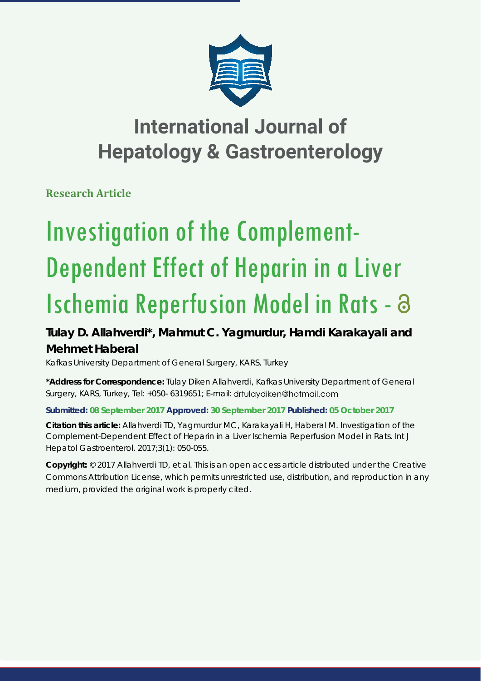

## **International Journal of Hepatology & Gastroenterology**

**Research Article**

# Investigation of the Complement-Dependent Effect of Heparin in a Liver Ischemia Reperfusion Model in Rats -

### **Tulay D. Allahverdi\*, Mahmut C. Yagmurdur, Hamdi Karakayali and Mehmet Haberal**

*Kafkas University Department of General Surgery, KARS, Turkey*

**\*Address for Correspondence:** Tulay Diken Allahverdi, Kafkas University Department of General Surgery, KARS, Turkey, Tel: +050- 6319651; E-mail: drtulaydiken@hotmail.com

**Submitted: 08 September 2017 Approved: 30 September 2017 Published: 05 October 2017**

**Citation this article:** Allahverdi TD, Yagmurdur MC, Karakayali H, Haberal M. Investigation of the Complement-Dependent Effect of Heparin in a Liver Ischemia Reperfusion Model in Rats. Int J Hepatol Gastroenterol. 2017;3(1): 050-055.

**Copyright:** © 2017 Allahverdi TD, et al. This is an open access article distributed under the Creative Commons Attribution License, which permits unrestricted use, distribution, and reproduction in any medium, provided the original work is properly cited.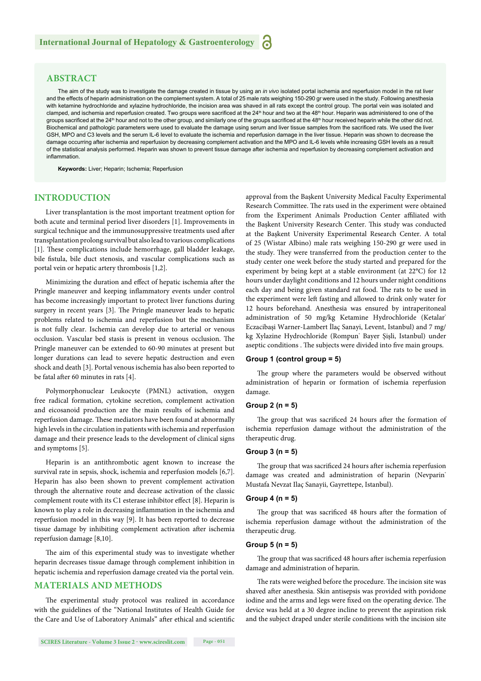#### **ABSTRACT**

The aim of the study was to investigate the damage created in tissue by using an *in vivo* isolated portal ischemia and reperfusion model in the rat liver and the effects of heparin administration on the complement system. A total of 25 male rats weighing 150-290 gr were used in the study. Following anesthesia with ketamine hydrochloride and xylazine hydrochloride, the incision area was shaved in all rats except the control group. The portal vein was isolated and clamped, and ischemia and reperfusion created. Two groups were sacrificed at the 24<sup>th</sup> hour and two at the 48<sup>th</sup> hour. Heparin was administered to one of the groups sacrificed at the 24<sup>th</sup> hour and not to the other group, and similarly one of the groups sacrificed at the 48<sup>th</sup> hour received heparin while the other did not. Biochemical and pathologic parameters were used to evaluate the damage using serum and liver tissue samples from the sacrificed rats. We used the liver GSH, MPO and C3 levels and the serum IL-6 level to evaluate the ischemia and reperfusion damage in the liver tissue. Heparin was shown to decrease the damage occurring after ischemia and reperfusion by decreasing complement activation and the MPO and IL-6 levels while increasing GSH levels as a result of the statistical analysis performed. Heparin was shown to prevent tissue damage after ischemia and reperfusion by decreasing complement activation and inflammation.

**Keywords:** Liver; Heparin; Ischemia; Reperfusion

#### **INTRODUCTION**

Liver transplantation is the most important treatment option for both acute and terminal period liver disorders [1]. Improvements in surgical technique and the immunosuppressive treatments used after transplantation prolong survival but also lead to various complications [1]. These complications include hemorrhage, gall bladder leakage, bile fistula, bile duct stenosis, and vascular complications such as portal vein or hepatic artery thrombosis [1,2].

Minimizing the duration and effect of hepatic ischemia after the Pringle maneuver and keeping inflammatory events under control has become increasingly important to protect liver functions during surgery in recent years [3]. The Pringle maneuver leads to hepatic problems related to ischemia and reperfusion but the mechanism is not fully clear. Ischemia can develop due to arterial or venous occlusion. Vascular bed stasis is present in venous occlusion. The Pringle maneuver can be extended to 60-90 minutes at present but longer durations can lead to severe hepatic destruction and even shock and death [3]. Portal venous ischemia has also been reported to be fatal after 60 minutes in rats  $[4]$ .

Polymorphonuclear Leukocyte (PMNL) activation, oxygen free radical formation, cytokine secretion, complement activation and eicosanoid production are the main results of ischemia and reperfusion damage. These mediators have been found at abnormally high levels in the circulation in patients with ischemia and reperfusion damage and their presence leads to the development of clinical signs and symptoms [5].

Heparin is an antithrombotic agent known to increase the survival rate in sepsis, shock, ischemia and reperfusion models [6,7]. Heparin has also been shown to prevent complement activation through the alternative route and decrease activation of the classic complement route with its C1 esterase inhibitor effect [8]. Heparin is known to play a role in decreasing inflammation in the ischemia and reperfusion model in this way [9]. It has been reported to decrease tissue damage by inhibiting complement activation after ischemia reperfusion damage [8,10].

The aim of this experimental study was to investigate whether heparin decreases tissue damage through complement inhibition in hepatic ischemia and reperfusion damage created via the portal vein.

#### **MATERIALS AND METHODS**

The experimental study protocol was realized in accordance with the guidelines of the "National Institutes of Health Guide for the Care and Use of Laboratory Animals" after ethical and scientific approval from the Başkent University Medical Faculty Experimental Research Committee. The rats used in the experiment were obtained from the Experiment Animals Production Center affiliated with the Başkent University Research Center. This study was conducted at the Başkent University Experimental Research Center. A total of 25 (Wistar Albino) male rats weighing 150-290 gr were used in the study. They were transferred from the production center to the study center one week before the study started and prepared for the experiment by being kept at a stable environment (at 22°C) for 12 hours under daylight conditions and 12 hours under night conditions each day and being given standard rat food. The rats to be used in the experiment were left fasting and allowed to drink only water for 12 hours beforehand. Anesthesia was ensured by intraperitoneal administration of 50 mg/kg Ketamine Hydrochloride (Ketalar<sup>®</sup> Eczacibaşi Warner-Lambert İlaç Sanayi, Levent, Istanbul) and 7 mg/ kg Xylazine Hydrochloride (Rompun<sup>\*</sup> Bayer Şişli, Istanbul) under aseptic conditions. The subjects were divided into five main groups.

#### **Group 1 (control group = 5)**

The group where the parameters would be observed without administration of heparin or formation of ischemia reperfusion damage.

#### **Group 2 (n = 5)**

The group that was sacrificed 24 hours after the formation of ischemia reperfusion damage without the administration of the therapeutic drug.

#### **Group 3 (n = 5)**

The group that was sacrificed 24 hours after ischemia reperfusion damage was created and administration of heparin (Nevparin<sup>®</sup> Mustafa Nevzat Ilaç Sanayii, Gayrettepe, Istanbul).

#### **Group 4 (n = 5)**

The group that was sacrificed 48 hours after the formation of ischemia reperfusion damage without the administration of the therapeutic drug.

#### **Group 5 (n = 5)**

The group that was sacrificed 48 hours after ischemia reperfusion damage and administration of heparin.

The rats were weighed before the procedure. The incision site was shaved after anesthesia. Skin antisepsis was provided with povidone iodine and the arms and legs were fixed on the operating device. The device was held at a 30 degree incline to prevent the aspiration risk and the subject draped under sterile conditions with the incision site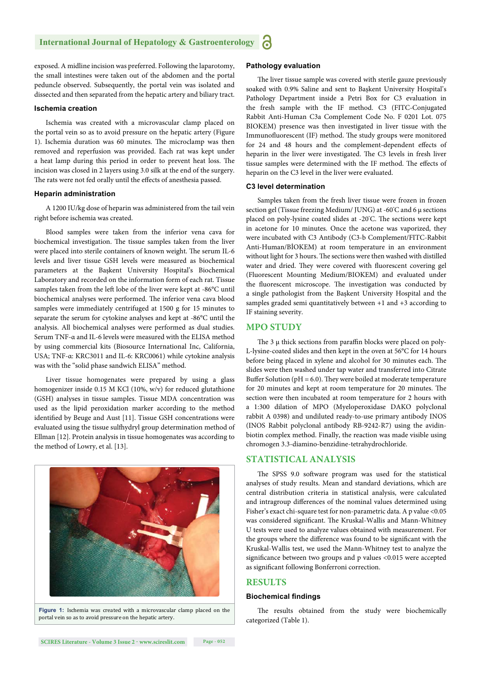exposed. A midline incision was preferred. Following the laparotomy, the small intestines were taken out of the abdomen and the portal peduncle observed. Subsequently, the portal vein was isolated and dissected and then separated from the hepatic artery and biliary tract.

#### **Ischemia creation**

Ischemia was created with a microvascular clamp placed on the portal vein so as to avoid pressure on the hepatic artery (Figure 1). Ischemia duration was 60 minutes. The microclamp was then removed and reperfusion was provided. Each rat was kept under a heat lamp during this period in order to prevent heat loss. The incision was closed in 2 layers using 3.0 silk at the end of the surgery. The rats were not fed orally until the effects of anesthesia passed.

#### **Heparin administration**

A 1200 IU/kg dose of heparin was administered from the tail vein right before ischemia was created.

Blood samples were taken from the inferior vena cava for biochemical investigation. The tissue samples taken from the liver were placed into sterile containers of known weight. The serum IL-6 levels and liver tissue GSH levels were measured as biochemical parameters at the Başkent University Hospital's Biochemical Laboratory and recorded on the information form of each rat. Tissue samples taken from the left lobe of the liver were kept at -86°C until biochemical analyses were performed. The inferior vena cava blood samples were immediately centrifuged at 1500 g for 15 minutes to separate the serum for cytokine analyses and kept at -86°C until the analysis. All biochemical analyses were performed as dual studies. Serum TNF-α and IL-6 levels were measured with the ELISA method by using commercial kits (Biosource International Inc, California, USA; TNF-α: KRC3011 and IL-6: KRC0061) while cytokine analysis was with the "solid phase sandwich ELISA" method.

Liver tissue homogenates were prepared by using a glass homogenizer inside 0.15 M KCl (10%, w/v) for reduced glutathione (GSH) analyses in tissue samples. Tissue MDA concentration was used as the lipid peroxidation marker according to the method identified by Beuge and Aust [11]. Tissue GSH concentrations were evaluated using the tissue sulfhydryl group determination method of Ellman [12]. Protein analysis in tissue homogenates was according to the method of Lowry, et al. [13].



**Figure 1:** Ischemia was created with a microvascular clamp placed on the portal vein so as to avoid pressure on the hepatic artery.

#### **Pathology evaluation**

The liver tissue sample was covered with sterile gauze previously soaked with 0.9% Saline and sent to Başkent University Hospital's Pathology Department inside a Petri Box for C3 evaluation in the fresh sample with the IF method. C3 (FITC-Conjugated Rabbit Anti-Human C3a Complement Code No. F 0201 Lot. 075 BIOKEM) presence was then investigated in liver tissue with the Immunofluorescent (IF) method. The study groups were monitored for 24 and 48 hours and the complement-dependent effects of heparin in the liver were investigated. The C3 levels in fresh liver tissue samples were determined with the IF method. The effects of heparin on the C3 level in the liver were evaluated.

#### **C3 level determination**

Samples taken from the fresh liver tissue were frozen in frozen section gel (Tissue freezing Medium/ JUNG) at -60° C and 6 μ sections placed on poly-lysine coated slides at -20°C. The sections were kept in acetone for 10 minutes. Once the acetone was vaporized, they were incubated with C3 Antibody (C3-b Complement/FITC-Rabbit Anti-Human/BİOKEM) at room temperature in an environment without light for 3 hours. The sections were then washed with distilled water and dried. They were covered with fluorescent covering gel (Fluorescent Mounting Medium/BIOKEM) and evaluated under the fluorescent microscope. The investigation was conducted by a single pathologist from the Başkent University Hospital and the samples graded semi quantitatively between +1 and +3 according to IF staining severity.

#### **MPO STUDY**

The  $3 \mu$  thick sections from paraffin blocks were placed on poly-L-lysine-coated slides and then kept in the oven at 56°C for 14 hours before being placed in xylene and alcohol for 30 minutes each. The slides were then washed under tap water and transferred into Citrate Buffer Solution ( $pH = 6.0$ ). They were boiled at moderate temperature for 20 minutes and kept at room temperature for 20 minutes. The section were then incubated at room temperature for 2 hours with a 1:300 dilation of MPO (Myeloperoxidase DAKO polyclonal rabbit A 0398) and undiluted ready-to-use primary antibody INOS (INOS Rabbit polyclonal antibody RB-9242-R7) using the avidinbiotin complex method. Finally, the reaction was made visible using chromogen 3.3-diamino-benzidine-tetrahydrochloride.

#### **STATISTICAL ANALYSIS**

The SPSS 9.0 software program was used for the statistical analyses of study results. Mean and standard deviations, which are central distribution criteria in statistical analysis, were calculated and intragroup differences of the nominal values determined using Fisher's exact chi-square test for non-parametric data. A p value <0.05 was considered significant. The Kruskal-Wallis and Mann-Whitney U tests were used to analyze values obtained with measurement. For the groups where the difference was found to be significant with the Kruskal-Wallis test, we used the Mann-Whitney test to analyze the significance between two groups and p values <0.015 were accepted as significant following Bonferroni correction.

#### **RESULTS**

#### **Biochemical findings**

The results obtained from the study were biochemically categorized (Table 1).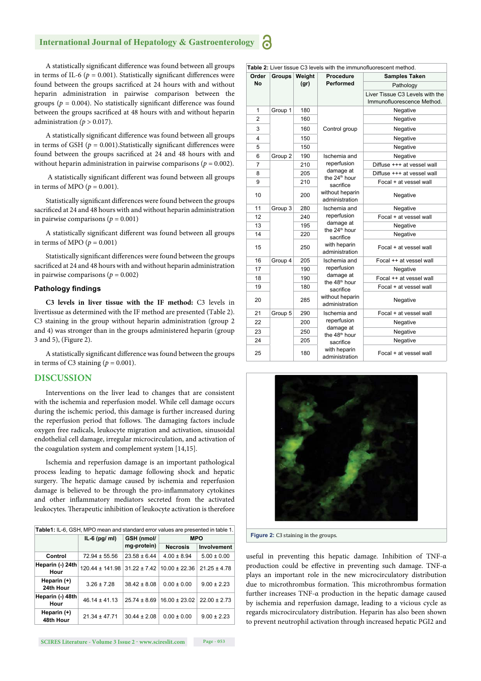#### **International Journal of Hepatology & Gastroenterology**

A statistically significant difference was found between all groups in terms of IL-6 ( $p = 0.001$ ). Statistically significant differences were found between the groups sacrificed at 24 hours with and without heparin administration in pairwise comparison between the groups ( $p = 0.004$ ). No statistically significant difference was found between the groups sacrificed at 48 hours with and without heparin administration  $(p > 0.017)$ .

A statistically significant difference was found between all groups in terms of GSH ( $p = 0.001$ ). Statistically significant differences were found between the groups sacrificed at 24 and 48 hours with and without heparin administration in pairwise comparisons ( $p = 0.002$ ).

A statistically significant different was found between all groups in terms of MPO ( $p = 0.001$ ).

Statistically significant differences were found between the groups sacrificed at 24 and 48 hours with and without heparin administration in pairwise comparisons ( $p = 0.001$ )

A statistically significant different was found between all groups in terms of MPO ( $p = 0.001$ )

Statistically significant differences were found between the groups sacrificed at 24 and 48 hours with and without heparin administration in pairwise comparisons  $(p = 0.002)$ 

#### **Pathology findings**

**C3 levels in liver tissue with the IF method:** C3 levels in livertissue as determined with the IF method are presented (Table 2). C3 staining in the group without heparin administration (group 2 and 4) was stronger than in the groups administered heparin (group 3 and 5), (Figure 2).

A statistically significant difference was found between the groups in terms of C3 staining  $(p = 0.001)$ .

#### **DISCUSSION**

Interventions on the liver lead to changes that are consistent with the ischemia and reperfusion model. While cell damage occurs during the ischemic period, this damage is further increased during the reperfusion period that follows. The damaging factors include oxygen free radicals, leukocyte migration and activation, sinusoidal endothelial cell damage, irregular microcirculation, and activation of the coagulation system and complement system [14,15].

Ischemia and reperfusion damage is an important pathological process leading to hepatic damage following shock and hepatic surgery. The hepatic damage caused by ischemia and reperfusion damage is believed to be through the pro-inflammatory cytokines and other inflammatory mediators secreted from the activated leukocytes. Therapeutic inhibition of leukocyte activation is therefore

| Table1: IL-6, GSH, MPO mean and standard error values are presented in table 1. |                     |                           |                   |                  |
|---------------------------------------------------------------------------------|---------------------|---------------------------|-------------------|------------------|
|                                                                                 | $IL-6$ (pg/ ml)     | GSH (nmol/<br>mg-protein) | <b>MPO</b>        |                  |
|                                                                                 |                     |                           | <b>Necrosis</b>   | Involvement      |
| Control                                                                         | $72.94 \pm 55.56$   | $23.58 \pm 6.44$          | $4.00 \pm 8.94$   | $5.00 \pm 0.00$  |
| Heparin (-) 24th<br>Hour                                                        | $120.44 \pm 141.98$ | $31.22 \pm 7.42$          | $10.00 \pm 22.36$ | $21.25 \pm 4.78$ |
| Heparin (+)<br>24th Hour                                                        | $3.26 \pm 7.28$     | $38.42 \pm 8.08$          | $0.00 \pm 0.00$   | $9.00 \pm 2.23$  |
| Heparin (-) 48th<br>Hour                                                        | $46.14 \pm 41.13$   | $25.74 \pm 8.69$          | $16.00 \pm 23.02$ | $22.00 \pm 2.73$ |
| Heparin (+)<br>48th Hour                                                        | $21.34 \pm 47.71$   | $30.44 \pm 2.08$          | $0.00 \pm 0.00$   | $9.00 \pm 2.23$  |

Table 2: Liver tissue C3 levels with the immunofluorescent method. **Order No Groups Weight (gr) Procedure Performed Samples Taken** Pathology Liver Tissue C3 Levels with the Immunofluorescence Method. 1 | Group 1 | 180 3 | 160 Control group | Negative Negative 2 160 Negative 4 150 Negative 5 150 Negative 6 Group 2 190 Ischemia and reperfusion damage at the 24<sup>th</sup> hour sacrifice without heparin administration Negative 7 | 210 | reperfusion | Diffuse +++ at vessel wall 8 205 damage at Diffuse +++ at vessel wall  $\overline{9}$  210 **Details** 100 **Focal + at vessel wall** 10 | 200 | Without neparin | Negative 11 Group 3 280 | Ischemia and reperfusion damage at the  $24<sup>th</sup>$  hour sacrifice with heparin administration Negative 12 240 reperfusion Focal + at vessel wall 13 195 admage at Negative 14 220 **Negative** 14 **Negative** 15 250 With heparin Focal + at vessel wall 16 Group 4 205 Ischemia and reperfusion damage at the 48<sup>th</sup> hour sacrifice without heparin administration Focal ++ at vessel wall 17 190 reperfusion Negative 18 190 damage at Focal ++ at vessel wall 19 180 The 48<sup>o</sup> hour<br>Tocal + at vessel wall 20 285 Without heparin 21 Group 5 290 Ischemia and reperfusion damage at 23 250 the 48<sup>th</sup> hour Negative sacrifice with heparin administration Focal + at vessel wall 22 200 reperfusion Negative 24 205 sacrifice Negative  $25$   $180$  With neparin  $25$  Focal + at vessel wall



**Figure 2:** C3 staining in the groups.

useful in preventing this hepatic damage. Inhibition of TNF-α production could be effective in preventing such damage. TNF- $\alpha$ plays an important role in the new microcirculatory distribution due to microthrombus formation. This microthrombus formation further increases TNF-α production in the hepatic damage caused by ischemia and reperfusion damage, leading to a vicious cycle as regards microcirculatory distribution. Heparin has also been shown to prevent neutrophil activation through increased hepatic PGI2 and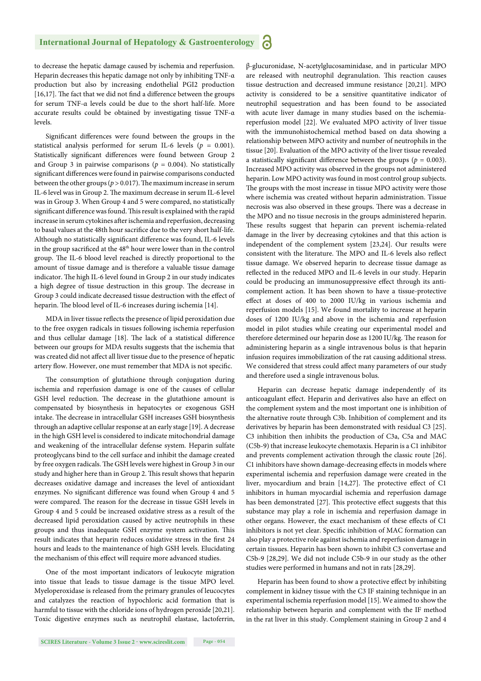to decrease the hepatic damage caused by ischemia and reperfusion. Heparin decreases this hepatic damage not only by inhibiting TNF-α production but also by increasing endothelial PGI2 production [16,17]. The fact that we did not find a difference between the groups for serum TNF-α levels could be due to the short half-life. More accurate results could be obtained by investigating tissue TNF-α levels.

Significant differences were found between the groups in the statistical analysis performed for serum IL-6 levels ( $p = 0.001$ ). Statistically significant differences were found between Group 2 and Group 3 in pairwise comparisons ( $p = 0.004$ ). No statistically significant differences were found in pairwise comparisons conducted between the other groups ( $p > 0.017$ ). The maximum increase in serum IL-6 level was in Group 2. The maximum decrease in serum IL-6 level was in Group 3. When Group 4 and 5 were compared, no statistically significant difference was found. This result is explained with the rapid increase in serum cytokines after ischemia and reperfusion, decreasing to basal values at the 48th hour sacrifice due to the very short half-life. Although no statistically significant difference was found, IL-6 levels in the group sacrificed at the 48<sup>th</sup> hour were lower than in the control group. The IL-6 blood level reached is directly proportional to the amount of tissue damage and is therefore a valuable tissue damage indicator. The high IL-6 level found in Group 2 in our study indicates a high degree of tissue destruction in this group. The decrease in Group 3 could indicate decreased tissue destruction with the effect of heparin. The blood level of IL-6 increases during ischemia [14].

MDA in liver tissue reflects the presence of lipid peroxidation due to the free oxygen radicals in tissues following ischemia reperfusion and thus cellular damage [18]. The lack of a statistical difference between our groups for MDA results suggests that the ischemia that was created did not affect all liver tissue due to the presence of hepatic artery flow. However, one must remember that MDA is not specific.

The consumption of glutathione through conjugation during ischemia and reperfusion damage is one of the causes of cellular GSH level reduction. The decrease in the glutathione amount is compensated by biosynthesis in hepatocytes or exogenous GSH intake. The decrease in intracellular GSH increases GSH biosynthesis through an adaptive cellular response at an early stage [19]. A decrease in the high GSH level is considered to indicate mitochondrial damage and weakening of the intracellular defense system. Heparin sulfate proteoglycans bind to the cell surface and inhibit the damage created by free oxygen radicals. The GSH levels were highest in Group 3 in our study and higher here than in Group 2. This result shows that heparin decreases oxidative damage and increases the level of antioxidant enzymes. No significant difference was found when Group 4 and 5 were compared. The reason for the decrease in tissue GSH levels in Group 4 and 5 could be increased oxidative stress as a result of the decreased lipid peroxidation caused by active neutrophils in these groups and thus inadequate GSH enzyme system activation. This result indicates that heparin reduces oxidative stress in the first 24 hours and leads to the maintenance of high GSH levels. Elucidating the mechanism of this effect will require more advanced studies.

One of the most important indicators of leukocyte migration into tissue that leads to tissue damage is the tissue MPO level. Myeloperoxidase is released from the primary granules of leucocytes and catalyzes the reaction of hypochloric acid formation that is harmful to tissue with the chloride ions of hydrogen peroxide [20,21]. Toxic digestive enzymes such as neutrophil elastase, lactoferrin, β-glucuronidase, N-acetylglucosaminidase, and in particular MPO are released with neutrophil degranulation. This reaction causes tissue destruction and decreased immune resistance [20,21]. MPO activity is considered to be a sensitive quantitative indicator of neutrophil sequestration and has been found to be associated with acute liver damage in many studies based on the ischemiareperfusion model [22]. We evaluated MPO activity of liver tissue with the immunohistochemical method based on data showing a relationship between MPO activity and number of neutrophils in the tissue [20]. Evaluation of the MPO activity of the liver tissue revealed a statistically significant difference between the groups ( $p = 0.003$ ). Increased MPO activity was observed in the groups not administered heparin. Low MPO activity was found in most control group subjects. The groups with the most increase in tissue MPO activity were those where ischemia was created without heparin administration. Tissue necrosis was also observed in these groups. There was a decrease in the MPO and no tissue necrosis in the groups administered heparin. These results suggest that heparin can prevent ischemia-related damage in the liver by decreasing cytokines and that this action is independent of the complement system [23,24]. Our results were consistent with the literature. The MPO and IL-6 levels also reflect tissue damage. We observed heparin to decrease tissue damage as reflected in the reduced MPO and IL-6 levels in our study. Heparin could be producing an immunosuppressive effect through its anticomplement action. It has been shown to have a tissue-protective effect at doses of 400 to 2000 IU/kg in various ischemia and reperfusion models [15]. We found mortality to increase at heparin doses of 1200 IU/kg and above in the ischemia and reperfusion model in pilot studies while creating our experimental model and therefore determined our heparin dose as 1200 IU/kg. The reason for administering heparin as a single intravenous bolus is that heparin infusion requires immobilization of the rat causing additional stress. We considered that stress could affect many parameters of our study and therefore used a single intravenous bolus.

Heparin can decrease hepatic damage independently of its anticoagulant effect. Heparin and derivatives also have an effect on the complement system and the most important one is inhibition of the alternative route through C3b. Inhibition of complement and its derivatives by heparin has been demonstrated with residual C3 [25]. C3 inhibition then inhibits the production of C3a, C5a and MAC (C5b-9) that increase leukocyte chemotaxis. Heparin is a C1 inhibitor and prevents complement activation through the classic route [26]. C1 inhibitors have shown damage-decreasing effects in models where experimental ischemia and reperfusion damage were created in the liver, myocardium and brain  $[14,27]$ . The protective effect of C1 inhibitors in human myocardial ischemia and reperfusion damage has been demonstrated [27]. This protective effect suggests that this substance may play a role in ischemia and reperfusion damage in other organs. However, the exact mechanism of these effects of C1 inhibitors is not yet clear. Specific inhibition of MAC formation can also play a protective role against ischemia and reperfusion damage in certain tissues. Heparin has been shown to inhibit C3 convertase and C5b-9 [28,29]. We did not include C5b-9 in our study as the other studies were performed in humans and not in rats [28,29].

Heparin has been found to show a protective effect by inhibiting complement in kidney tissue with the C3 IF staining technique in an experimental ischemia reperfusion model [15]. We aimed to show the relationship between heparin and complement with the IF method in the rat liver in this study. Complement staining in Group 2 and 4